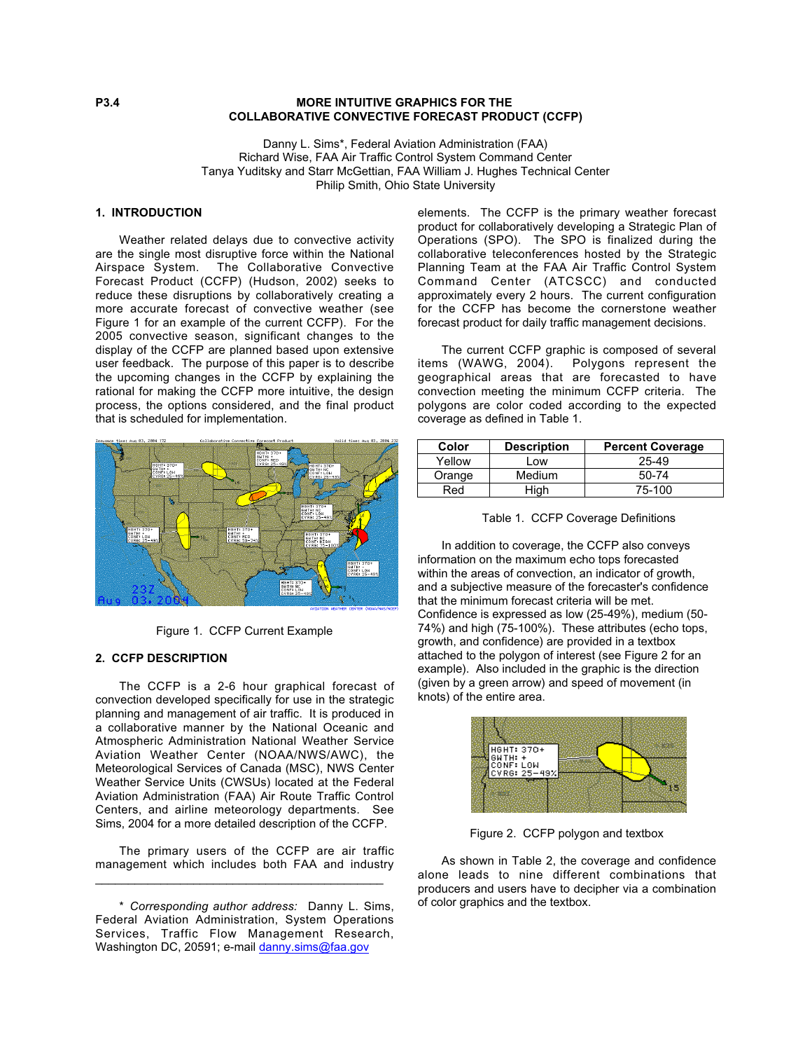## **P3.4** MORE INTUITIVE GRAPHICS FOR THE **COLLABORATIVE CONVECTIVE FORECAST PRODUCT (CCFP)**

Danny L. Sims\*, Federal Aviation Administration (FAA) Richard Wise, FAA Air Traffic Control System Command Center Tanya Yuditsky and Starr McGettian, FAA William J. Hughes Technical Center Philip Smith, Ohio State University

# **1. INTRODUCTION**

Weather related delays due to convective activity are the single most disruptive force within the National Airspace System. The Collaborative Convective Forecast Product (CCFP) (Hudson, 2002) seeks to reduce these disruptions by collaboratively creating a more accurate forecast of convective weather (see Figure 1 for an example of the current CCFP). For the 2005 convective season, significant changes to the display of the CCFP are planned based upon extensive user feedback. The purpose of this paper is to describe the upcoming changes in the CCFP by explaining the rational for making the CCFP more intuitive, the design process, the options considered, and the final product that is scheduled for implementation.



Figure 1. CCFP Current Example

#### **2. CCFP DESCRIPTION**

The CCFP is a 2-6 hour graphical forecast of convection developed specifically for use in the strategic planning and management of air traffic. It is produced in a collaborative manner by the National Oceanic and Atmospheric Administration National Weather Service Aviation Weather Center (NOAA/NWS/AWC), the Meteorological Services of Canada (MSC), NWS Center Weather Service Units (CWSUs) located at the Federal Aviation Administration (FAA) Air Route Traffic Control Centers, and airline meteorology departments. See Sims, 2004 for a more detailed description of the CCFP.

The primary users of the CCFP are air traffic management which includes both FAA and industry \_\_\_\_\_\_\_\_\_\_\_\_\_\_\_\_\_\_\_\_\_\_\_\_\_\_\_\_\_\_\_\_\_\_\_\_\_\_\_\_\_\_\_\_

\* *Corresponding author address:* Danny L. Sims, Federal Aviation Administration, System Operations Services, Traffic Flow Management Research, Washington DC, 20591; e-mail danny.sims@faa.gov

elements. The CCFP is the primary weather forecast product for collaboratively developing a Strategic Plan of Operations (SPO). The SPO is finalized during the collaborative teleconferences hosted by the Strategic Planning Team at the FAA Air Traffic Control System Command Center (ATCSCC) and conducted approximately every 2 hours. The current configuration for the CCFP has become the cornerstone weather forecast product for daily traffic management decisions.

The current CCFP graphic is composed of several items (WAWG, 2004). Polygons represent the geographical areas that are forecasted to have convection meeting the minimum CCFP criteria. The polygons are color coded according to the expected coverage as defined in Table 1.

| Color  | <b>Description</b> | <b>Percent Coverage</b> |
|--------|--------------------|-------------------------|
| Yellow | Low                | 25-49                   |
| Orange | Medium             | 50-74                   |
| Red    | High               | 75-100                  |

|  |  |  | Table 1. CCFP Coverage Definitions |
|--|--|--|------------------------------------|
|--|--|--|------------------------------------|

In addition to coverage, the CCFP also conveys information on the maximum echo tops forecasted within the areas of convection, an indicator of growth, and a subjective measure of the forecaster's confidence that the minimum forecast criteria will be met. Confidence is expressed as low (25-49%), medium (50- 74%) and high (75-100%). These attributes (echo tops, growth, and confidence) are provided in a textbox attached to the polygon of interest (see Figure 2 for an example). Also included in the graphic is the direction (given by a green arrow) and speed of movement (in knots) of the entire area.



Figure 2. CCFP polygon and textbox

As shown in Table 2, the coverage and confidence alone leads to nine different combinations that producers and users have to decipher via a combination of color graphics and the textbox.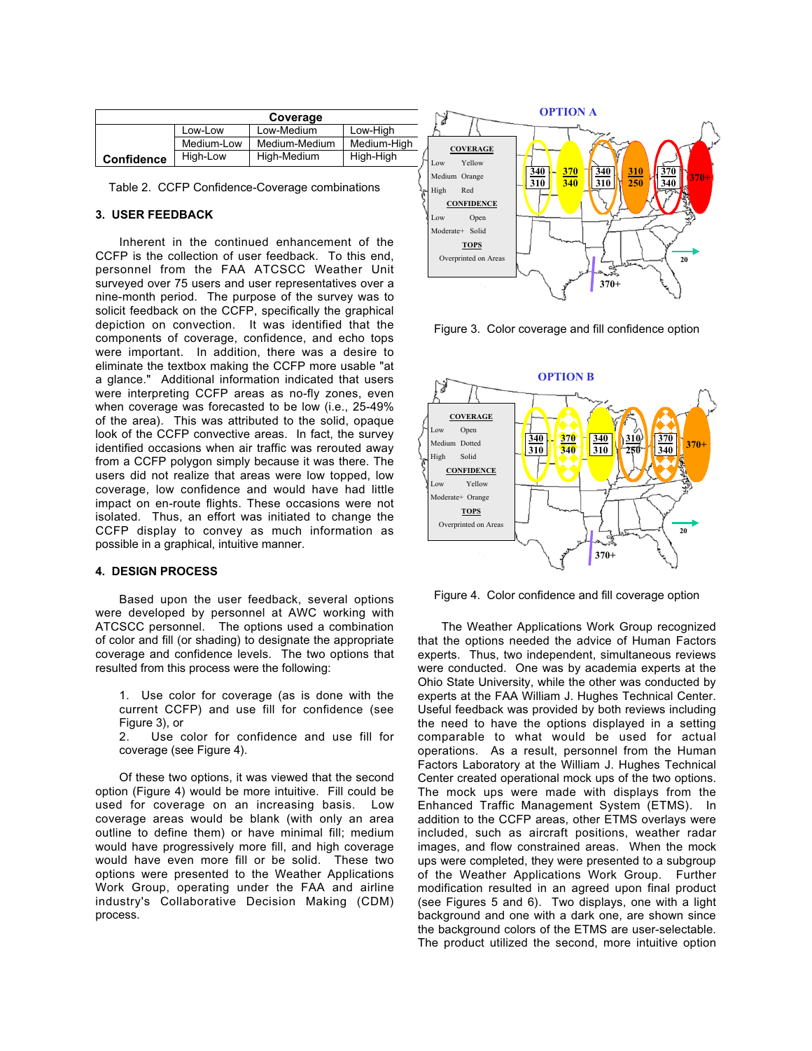|                   | Coverage   |               |             |  |  |
|-------------------|------------|---------------|-------------|--|--|
|                   | Low-Low    | Low-Medium    | Low-High    |  |  |
|                   | Medium-Low | Medium-Medium | Medium-High |  |  |
| <b>Confidence</b> | High-Low   | High-Medium   | High-High   |  |  |

Table 2. CCFP Confidence-Coverage combinations

## **3. USER FEEDBACK**

Inherent in the continued enhancement of the CCFP is the collection of user feedback. To this end, personnel from the FAA ATCSCC Weather Unit surveyed over 75 users and user representatives over a nine-month period. The purpose of the survey was to solicit feedback on the CCFP, specifically the graphical depiction on convection. It was identified that the components of coverage, confidence, and echo tops were important. In addition, there was a desire to eliminate the textbox making the CCFP more usable "at a glance." Additional information indicated that users were interpreting CCFP areas as no-fly zones, even when coverage was forecasted to be low (i.e., 25-49% of the area). This was attributed to the solid, opaque look of the CCFP convective areas. In fact, the survey identified occasions when air traffic was rerouted away from a CCFP polygon simply because it was there. The users did not realize that areas were low topped, low coverage, low confidence and would have had little impact on en-route flights. These occasions were not isolated. Thus, an effort was initiated to change the CCFP display to convey as much information as possible in a graphical, intuitive manner.

#### **4. DESIGN PROCESS**

Based upon the user feedback, several options were developed by personnel at AWC working with ATCSCC personnel. The options used a combination of color and fill (or shading) to designate the appropriate coverage and confidence levels. The two options that resulted from this process were the following:

1. Use color for coverage (as is done with the current CCFP) and use fill for confidence (see Figure 3), or<br>2. Use c

Use color for confidence and use fill for coverage (see Figure 4).

Of these two options, it was viewed that the second option (Figure 4) would be more intuitive. Fill could be used for coverage on an increasing basis. Low coverage areas would be blank (with only an area outline to define them) or have minimal fill; medium would have progressively more fill, and high coverage would have even more fill or be solid. These two options were presented to the Weather Applications Work Group, operating under the FAA and airline industry's Collaborative Decision Making (CDM) process.



Figure 3. Color coverage and fill confidence option



Figure 4. Color confidence and fill coverage option

The Weather Applications Work Group recognized that the options needed the advice of Human Factors experts. Thus, two independent, simultaneous reviews were conducted. One was by academia experts at the Ohio State University, while the other was conducted by experts at the FAA William J. Hughes Technical Center. Useful feedback was provided by both reviews including the need to have the options displayed in a setting comparable to what would be used for actual operations. As a result, personnel from the Human Factors Laboratory at the William J. Hughes Technical Center created operational mock ups of the two options. The mock ups were made with displays from the Enhanced Traffic Management System (ETMS). In addition to the CCFP areas, other ETMS overlays were included, such as aircraft positions, weather radar images, and flow constrained areas. When the mock ups were completed, they were presented to a subgroup of the Weather Applications Work Group. Further modification resulted in an agreed upon final product (see Figures 5 and 6). Two displays, one with a light background and one with a dark one, are shown since the background colors of the ETMS are user-selectable. The product utilized the second, more intuitive option